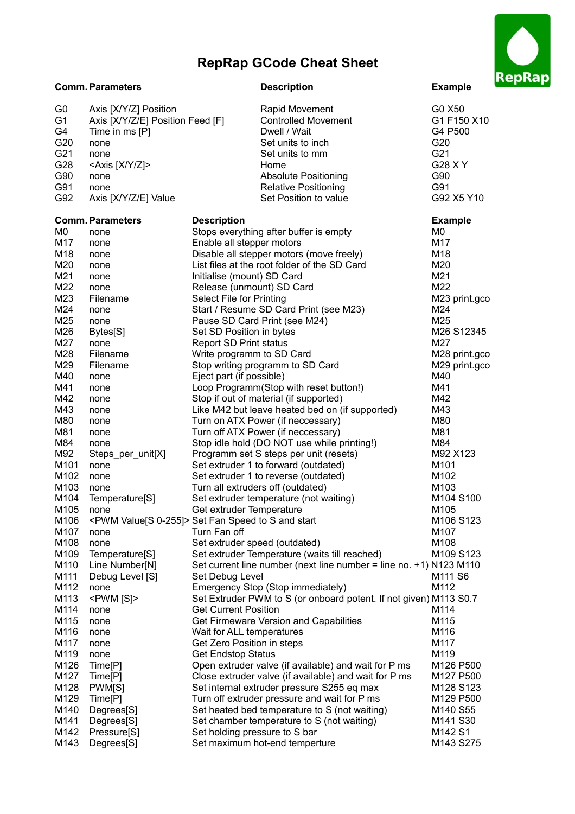## **RepRap GCode Cheat Sheet**



| G <sub>0</sub><br>G <sub>1</sub><br>G4<br>G20<br>G21<br>G28<br>G90<br>G91<br>G92 | Axis [X/Y/Z] Position<br>Axis [X/Y/Z/E] Position Feed [F]<br>Time in ms [P]<br>none<br>none<br><axis [x="" y="" z]=""><br/>none<br/>none<br/>Axis [X/Y/Z/E] Value</axis> | Dwell / Wait<br>Home                                                         | Rapid Movement<br><b>Controlled Movement</b><br>Set units to inch<br>Set units to mm<br><b>Absolute Positioning</b><br><b>Relative Positioning</b><br>Set Position to value | G0 X50<br>G1 F150 X10<br>G4 P500<br>G20<br>G21<br>G28 X Y<br>G90<br>G91<br>G92 X5 Y10 |
|----------------------------------------------------------------------------------|--------------------------------------------------------------------------------------------------------------------------------------------------------------------------|------------------------------------------------------------------------------|-----------------------------------------------------------------------------------------------------------------------------------------------------------------------------|---------------------------------------------------------------------------------------|
|                                                                                  |                                                                                                                                                                          |                                                                              |                                                                                                                                                                             |                                                                                       |
| M0                                                                               | <b>Comm. Parameters</b>                                                                                                                                                  | <b>Description</b><br>Stops everything after buffer is empty                 |                                                                                                                                                                             | <b>Example</b><br>M0                                                                  |
| M17                                                                              | none<br>none                                                                                                                                                             | Enable all stepper motors                                                    |                                                                                                                                                                             | M17                                                                                   |
| M18                                                                              | none                                                                                                                                                                     | Disable all stepper motors (move freely)                                     |                                                                                                                                                                             | M18                                                                                   |
| M20                                                                              | none                                                                                                                                                                     | List files at the root folder of the SD Card                                 |                                                                                                                                                                             | M20                                                                                   |
| M21                                                                              | none                                                                                                                                                                     | Initialise (mount) SD Card                                                   |                                                                                                                                                                             | M21                                                                                   |
| M22                                                                              | none                                                                                                                                                                     | Release (unmount) SD Card                                                    |                                                                                                                                                                             | M22                                                                                   |
| M23                                                                              | Filename                                                                                                                                                                 | Select File for Printing                                                     |                                                                                                                                                                             | M23 print.gco                                                                         |
| M24                                                                              | none                                                                                                                                                                     | Start / Resume SD Card Print (see M23)                                       |                                                                                                                                                                             | M24                                                                                   |
| M25                                                                              | none                                                                                                                                                                     | Pause SD Card Print (see M24)                                                |                                                                                                                                                                             | M25                                                                                   |
| M26                                                                              | Bytes[S]                                                                                                                                                                 | Set SD Position in bytes                                                     |                                                                                                                                                                             | M26 S12345                                                                            |
| M27                                                                              | none                                                                                                                                                                     | <b>Report SD Print status</b>                                                |                                                                                                                                                                             | M27                                                                                   |
| M28                                                                              | Filename                                                                                                                                                                 | Write programm to SD Card                                                    |                                                                                                                                                                             | M28 print.gco                                                                         |
| M29                                                                              | Filename                                                                                                                                                                 | Stop writing programm to SD Card                                             |                                                                                                                                                                             | M29 print.gco                                                                         |
| M40                                                                              | none                                                                                                                                                                     | Eject part (if possible)                                                     |                                                                                                                                                                             | M40                                                                                   |
| M41                                                                              | none                                                                                                                                                                     | Loop Programm(Stop with reset button!)                                       |                                                                                                                                                                             | M41                                                                                   |
| M42                                                                              | none                                                                                                                                                                     | Stop if out of material (if supported)                                       |                                                                                                                                                                             | M42                                                                                   |
| M43                                                                              | none                                                                                                                                                                     |                                                                              | Like M42 but leave heated bed on (if supported)                                                                                                                             | M43                                                                                   |
| M80                                                                              | none                                                                                                                                                                     | Turn on ATX Power (if neccessary)                                            |                                                                                                                                                                             | M80                                                                                   |
| M81                                                                              | none                                                                                                                                                                     | Turn off ATX Power (if neccessary)                                           |                                                                                                                                                                             | M81                                                                                   |
| M84                                                                              | none                                                                                                                                                                     | Stop idle hold (DO NOT use while printing!)                                  |                                                                                                                                                                             | M84                                                                                   |
| M92<br>M101                                                                      | Steps_per_unit[X]                                                                                                                                                        | Programm set S steps per unit (resets)                                       |                                                                                                                                                                             | M92 X123<br>M101                                                                      |
| M102                                                                             | none<br>none                                                                                                                                                             | Set extruder 1 to forward (outdated)<br>Set extruder 1 to reverse (outdated) |                                                                                                                                                                             | M102                                                                                  |
| M103                                                                             | none                                                                                                                                                                     | Turn all extruders off (outdated)                                            |                                                                                                                                                                             | M103                                                                                  |
| M104                                                                             | Temperature[S]                                                                                                                                                           | Set extruder temperature (not waiting)                                       |                                                                                                                                                                             | M104 S100                                                                             |
| M105                                                                             | none                                                                                                                                                                     | Get extruder Temperature                                                     |                                                                                                                                                                             | M105                                                                                  |
| M106                                                                             | <pwm 0-255]="" value[s=""> Set Fan Speed to S and start</pwm>                                                                                                            |                                                                              |                                                                                                                                                                             | M106 S123                                                                             |
| M107                                                                             | none                                                                                                                                                                     | Turn Fan off                                                                 |                                                                                                                                                                             | M107                                                                                  |
| M108                                                                             | none                                                                                                                                                                     | Set extruder speed (outdated)                                                |                                                                                                                                                                             | M108                                                                                  |
| M109                                                                             | Temperature[S]                                                                                                                                                           |                                                                              | Set extruder Temperature (waits till reached)                                                                                                                               | M109 S123                                                                             |
| M110                                                                             | Line Number[N]                                                                                                                                                           |                                                                              | Set current line number (next line number = line no. +1) N123 M110                                                                                                          |                                                                                       |
| M111                                                                             | Debug Level [S]                                                                                                                                                          | Set Debug Level                                                              |                                                                                                                                                                             | M <sub>111</sub> S <sub>6</sub>                                                       |
| M112                                                                             | none                                                                                                                                                                     | Emergency Stop (Stop immediately)                                            |                                                                                                                                                                             | M112                                                                                  |
| M113                                                                             | <pwm [s]=""></pwm>                                                                                                                                                       |                                                                              | Set Extruder PWM to S (or onboard potent. If not given) M113 S0.7                                                                                                           |                                                                                       |
| M114                                                                             | none                                                                                                                                                                     | <b>Get Current Position</b>                                                  |                                                                                                                                                                             | M114                                                                                  |
| M115                                                                             | none                                                                                                                                                                     | Get Firmeware Version and Capabilities                                       |                                                                                                                                                                             | M115                                                                                  |
| M116                                                                             | none                                                                                                                                                                     | Wait for ALL temperatures                                                    |                                                                                                                                                                             | M116                                                                                  |
| M117                                                                             | none                                                                                                                                                                     | Get Zero Position in steps                                                   |                                                                                                                                                                             | M117                                                                                  |
| M119                                                                             | none                                                                                                                                                                     | <b>Get Endstop Status</b>                                                    |                                                                                                                                                                             | M119                                                                                  |
| M126<br>M127                                                                     | Time[P]<br>Time[P]                                                                                                                                                       |                                                                              | Open extruder valve (if available) and wait for P ms<br>Close extruder valve (if available) and wait for P ms                                                               | M126 P500<br>M127 P500                                                                |
| M128                                                                             | PWM[S]                                                                                                                                                                   |                                                                              | Set internal extruder pressure S255 eq max                                                                                                                                  | M128 S123                                                                             |
| M129                                                                             | Time[P]                                                                                                                                                                  |                                                                              | Turn off extruder pressure and wait for P ms                                                                                                                                | M129 P500                                                                             |
| M140                                                                             | Degrees[S]                                                                                                                                                               |                                                                              | Set heated bed temperature to S (not waiting)                                                                                                                               | M140 S55                                                                              |
| M141                                                                             | Degrees[S]                                                                                                                                                               | Set chamber temperature to S (not waiting)                                   |                                                                                                                                                                             | M141 S30                                                                              |
| M142                                                                             | Pressure[S]                                                                                                                                                              | Set holding pressure to S bar                                                |                                                                                                                                                                             | M142 S1                                                                               |
| M143                                                                             | Degrees[S]                                                                                                                                                               | Set maximum hot-end temperture                                               |                                                                                                                                                                             | M143 S275                                                                             |